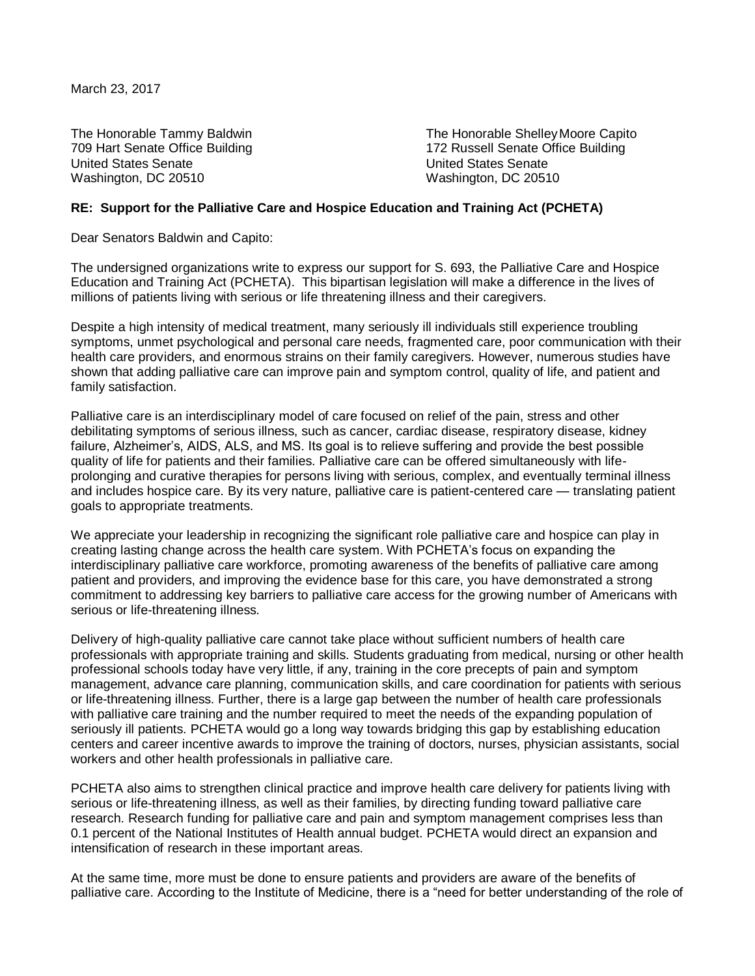March 23, 2017

United States Senate United States Senate Washington, DC 20510 Washington, DC 20510

The Honorable Tammy Baldwin The Honorable Shelley Moore Capito 709 Hart Senate Office Building 172 Russell Senate Office Building

## **RE: Support for the Palliative Care and Hospice Education and Training Act (PCHETA)**

Dear Senators Baldwin and Capito:

The undersigned organizations write to express our support for S. 693, the Palliative Care and Hospice Education and Training Act (PCHETA). This bipartisan legislation will make a difference in the lives of millions of patients living with serious or life threatening illness and their caregivers.

Despite a high intensity of medical treatment, many seriously ill individuals still experience troubling symptoms, unmet psychological and personal care needs, fragmented care, poor communication with their health care providers, and enormous strains on their family caregivers. However, numerous studies have shown that adding palliative care can improve pain and symptom control, quality of life, and patient and family satisfaction.

Palliative care is an interdisciplinary model of care focused on relief of the pain, stress and other debilitating symptoms of serious illness, such as cancer, cardiac disease, respiratory disease, kidney failure, Alzheimer's, AIDS, ALS, and MS. Its goal is to relieve suffering and provide the best possible quality of life for patients and their families. Palliative care can be offered simultaneously with lifeprolonging and curative therapies for persons living with serious, complex, and eventually terminal illness and includes hospice care. By its very nature, palliative care is patient-centered care — translating patient goals to appropriate treatments.

We appreciate your leadership in recognizing the significant role palliative care and hospice can play in creating lasting change across the health care system. With PCHETA's focus on expanding the interdisciplinary palliative care workforce, promoting awareness of the benefits of palliative care among patient and providers, and improving the evidence base for this care, you have demonstrated a strong commitment to addressing key barriers to palliative care access for the growing number of Americans with serious or life-threatening illness.

Delivery of high-quality palliative care cannot take place without sufficient numbers of health care professionals with appropriate training and skills. Students graduating from medical, nursing or other health professional schools today have very little, if any, training in the core precepts of pain and symptom management, advance care planning, communication skills, and care coordination for patients with serious or life-threatening illness. Further, there is a large gap between the number of health care professionals with palliative care training and the number required to meet the needs of the expanding population of seriously ill patients. PCHETA would go a long way towards bridging this gap by establishing education centers and career incentive awards to improve the training of doctors, nurses, physician assistants, social workers and other health professionals in palliative care.

PCHETA also aims to strengthen clinical practice and improve health care delivery for patients living with serious or life-threatening illness, as well as their families, by directing funding toward palliative care research. Research funding for palliative care and pain and symptom management comprises less than 0.1 percent of the National Institutes of Health annual budget. PCHETA would direct an expansion and intensification of research in these important areas.

At the same time, more must be done to ensure patients and providers are aware of the benefits of palliative care. According to the Institute of Medicine, there is a "need for better understanding of the role of